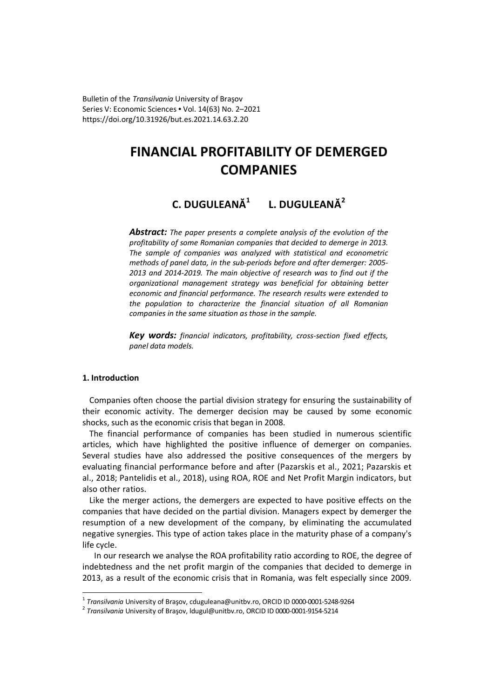Bulletin of the *Transilvania* University of Braşov Series V: Economic Sciences • Vol. 14(63) No. 2–2021 https://doi.org/10.31926/but.es.2021.14.63.2.20

# **FINANCIAL PROFITABILITY OF DEMERGED COMPANIES**

# **C. DUGULEANĂ<sup>1</sup> L. DUGULEANĂ<sup>2</sup>**

*Abstract: The paper presents a complete analysis of the evolution of the profitability of some Romanian companies that decided to demerge in 2013. The sample of companies was analyzed with statistical and econometric methods of panel data, in the sub-periods before and after demerger: 2005- 2013 and 2014-2019. The main objective of research was to find out if the organizational management strategy was beneficial for obtaining better economic and financial performance. The research results were extended to the population to characterize the financial situation of all Romanian companies in the same situation as those in the sample.* 

*Key words: financial indicators, profitability, cross-section fixed effects, panel data models.*

# **1. Introduction**

 $\overline{a}$ 

Companies often choose the partial division strategy for ensuring the sustainability of their economic activity. The demerger decision may be caused by some economic shocks, such as the economic crisis that began in 2008.

The financial performance of companies has been studied in numerous scientific articles, which have highlighted the positive influence of demerger on companies. Several studies have also addressed the positive consequences of the mergers by evaluating financial performance before and after (Pazarskis et al., 2021; Pazarskis et al., 2018; Pantelidis et al., 2018), using ROA, ROE and Net Profit Margin indicators, but also other ratios.

Like the merger actions, the demergers are expected to have positive effects on the companies that have decided on the partial division. Managers expect by demerger the resumption of a new development of the company, by eliminating the accumulated negative synergies. This type of action takes place in the maturity phase of a company's life cycle.

In our research we analyse the ROA profitability ratio according to ROE, the degree of indebtedness and the net profit margin of the companies that decided to demerge in 2013, as a result of the economic crisis that in Romania, was felt especially since 2009.

<sup>1</sup> *Transilvania* University of Braşov, cduguleana@unitbv.ro, ORCID ID 0000-0001-5248-9264

<sup>2</sup> *Transilvania* University of Braşov, ldugul@unitbv.ro, ORCID ID 0000-0001-9154-5214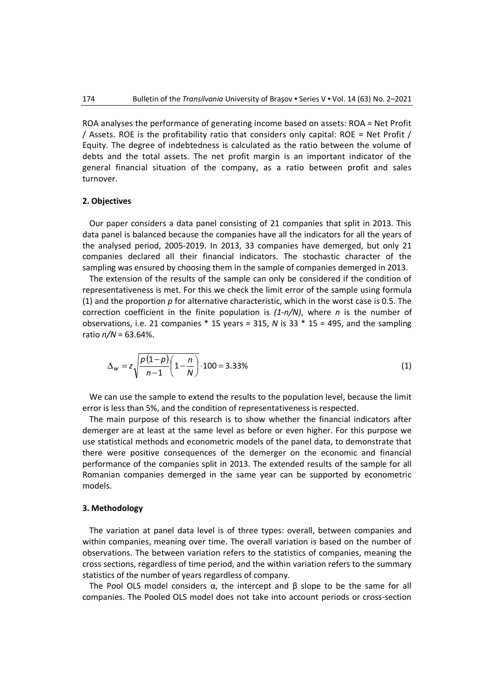ROA analyses the performance of generating income based on assets: ROA = Net Profit / Assets. ROE is the profitability ratio that considers only capital: ROE = Net Profit / Equity. The degree of indebtedness is calculated as the ratio between the volume of debts and the total assets. The net profit margin is an important indicator of the general financial situation of the company, as a ratio between profit and sales turnover.

#### **2. Objectives**

Our paper considers a data panel consisting of 21 companies that split in 2013. This data panel is balanced because the companies have all the indicators for all the years of the analysed period, 2005-2019. In 2013, 33 companies have demerged, but only 21 companies declared all their financial indicators. The stochastic character of the sampling was ensured by choosing them in the sample of companies demerged in 2013.

 The extension of the results of the sample can only be considered if the condition of representativeness is met. For this we check the limit error of the sample using formula (1) and the proportion *p* for alternative characteristic, which in the worst case is 0.5. The correction coefficient in the finite population is *(1-n/N)*, where *n* is the number of observations, i.e. 21 companies \* 15 years = 315, *N* is 33 \* 15 = 495, and the sampling ratio  $n/N = 63.64\%$ .

$$
\Delta_w = z \sqrt{\frac{p(1-p)}{n-1} \left(1 - \frac{n}{N}\right)} \cdot 100 = 3.33\% \tag{1}
$$

We can use the sample to extend the results to the population level, because the limit error is less than 5%, and the condition of representativeness is respected.

The main purpose of this research is to show whether the financial indicators after demerger are at least at the same level as before or even higher. For this purpose we use statistical methods and econometric models of the panel data, to demonstrate that there were positive consequences of the demerger on the economic and financial performance of the companies split in 2013. The extended results of the sample for all Romanian companies demerged in the same year can be supported by econometric models.

#### **3. Methodology**

The variation at panel data level is of three types: overall, between companies and within companies, meaning over time. The overall variation is based on the number of observations. The between variation refers to the statistics of companies, meaning the cross sections, regardless of time period, and the within variation refers to the summary statistics of the number of years regardless of company.

The Pool OLS model considers  $\alpha$ , the intercept and  $\beta$  slope to be the same for all companies. The Pooled OLS model does not take into account periods or cross-section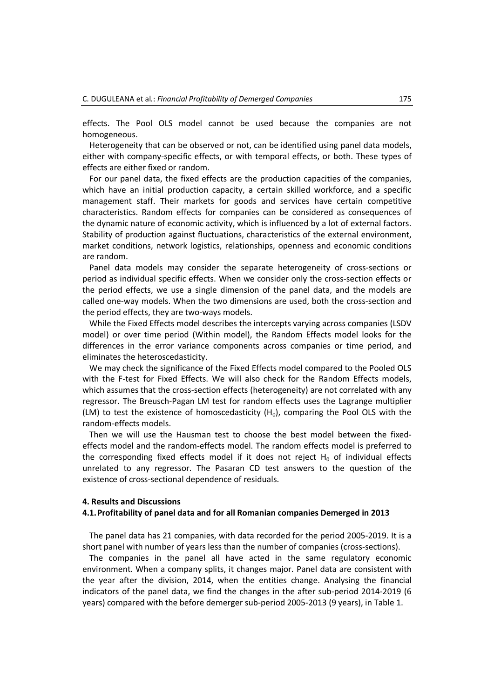effects. The Pool OLS model cannot be used because the companies are not homogeneous.

Heterogeneity that can be observed or not, can be identified using panel data models, either with company-specific effects, or with temporal effects, or both. These types of effects are either fixed or random.

For our panel data, the fixed effects are the production capacities of the companies, which have an initial production capacity, a certain skilled workforce, and a specific management staff. Their markets for goods and services have certain competitive characteristics. Random effects for companies can be considered as consequences of the dynamic nature of economic activity, which is influenced by a lot of external factors. Stability of production against fluctuations, characteristics of the external environment, market conditions, network logistics, relationships, openness and economic conditions are random.

Panel data models may consider the separate heterogeneity of cross-sections or period as individual specific effects. When we consider only the cross-section effects or the period effects, we use a single dimension of the panel data, and the models are called one-way models. When the two dimensions are used, both the cross-section and the period effects, they are two-ways models.

While the Fixed Effects model describes the intercepts varying across companies (LSDV model) or over time period (Within model), the Random Effects model looks for the differences in the error variance components across companies or time period, and eliminates the heteroscedasticity.

We may check the significance of the Fixed Effects model compared to the Pooled OLS with the F-test for Fixed Effects. We will also check for the Random Effects models, which assumes that the cross-section effects (heterogeneity) are not correlated with any regressor. The Breusch-Pagan LM test for random effects uses the Lagrange multiplier (LM) to test the existence of homoscedasticity  $(H_0)$ , comparing the Pool OLS with the random-effects models.

Then we will use the Hausman test to choose the best model between the fixedeffects model and the random-effects model. The random effects model is preferred to the corresponding fixed effects model if it does not reject  $H_0$  of individual effects unrelated to any regressor. The Pasaran CD test answers to the question of the existence of cross-sectional dependence of residuals.

#### **4. Results and Discussions**

### **4.1.Profitability of panel data and for all Romanian companies Demerged in 2013**

The panel data has 21 companies, with data recorded for the period 2005-2019. It is a short panel with number of years less than the number of companies (cross-sections).

The companies in the panel all have acted in the same regulatory economic environment. When a company splits, it changes major. Panel data are consistent with the year after the division, 2014, when the entities change. Analysing the financial indicators of the panel data, we find the changes in the after sub-period 2014-2019 (6 years) compared with the before demerger sub-period 2005-2013 (9 years), in Table 1.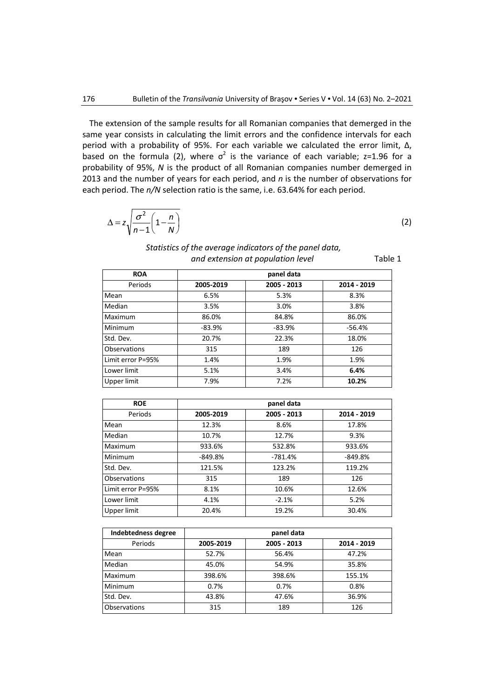The extension of the sample results for all Romanian companies that demerged in the same year consists in calculating the limit errors and the confidence intervals for each period with a probability of 95%. For each variable we calculated the error limit, Δ, based on the formula (2), where  $\sigma^2$  is the variance of each variable; z=1.96 for a probability of 95%, *N* is the product of all Romanian companies number demerged in 2013 and the number of years for each period, and *n* is the number of observations for each period. The *n/N* selection ratio is the same, i.e. 63.64% for each period.

$$
\Delta = z \sqrt{\frac{\sigma^2}{n-1} \left(1 - \frac{n}{N}\right)}
$$

(2)

Table 1

| Statistics of the average indicators of the panel data, |
|---------------------------------------------------------|
| and extension at population level                       |

| data |             |
|------|-------------|
| 2013 | 2014 - 2019 |

| <b>ROA</b>          |           | panel data  |             |
|---------------------|-----------|-------------|-------------|
| Periods             | 2005-2019 | 2005 - 2013 | 2014 - 2019 |
| Mean                | 6.5%      | 5.3%        | 8.3%        |
| Median              | 3.5%      | 3.0%        | 3.8%        |
| Maximum             | 86.0%     | 84.8%       | 86.0%       |
| Minimum             | $-83.9%$  | $-83.9%$    | $-56.4%$    |
| Std. Dev.           | 20.7%     | 22.3%       | 18.0%       |
| <b>Observations</b> | 315       | 189         | 126         |
| Limit error P=95%   | 1.4%      | 1.9%        | 1.9%        |
| Lower limit         | 5.1%      | 3.4%        | 6.4%        |
| Upper limit         | 7.9%      | 7.2%        | 10.2%       |

| <b>ROE</b>        | panel data |             |             |  |  |  |
|-------------------|------------|-------------|-------------|--|--|--|
| Periods           | 2005-2019  | 2005 - 2013 | 2014 - 2019 |  |  |  |
| Mean              | 12.3%      | 8.6%        | 17.8%       |  |  |  |
| Median            | 10.7%      | 12.7%       | 9.3%        |  |  |  |
| Maximum           | 933.6%     | 532.8%      | 933.6%      |  |  |  |
| Minimum           | $-849.8%$  | $-781.4%$   | $-849.8%$   |  |  |  |
| Std. Dev.         | 121.5%     | 123.2%      | 119.2%      |  |  |  |
| Observations      | 315        | 189         | 126         |  |  |  |
| Limit error P=95% | 8.1%       | 10.6%       | 12.6%       |  |  |  |
| Lower limit       | 4.1%       | $-2.1%$     | 5.2%        |  |  |  |
| Upper limit       | 20.4%      | 19.2%       | 30.4%       |  |  |  |

| Indebtedness degree | panel data |             |             |  |  |  |
|---------------------|------------|-------------|-------------|--|--|--|
| Periods             | 2005-2019  | 2005 - 2013 | 2014 - 2019 |  |  |  |
| Mean                | 52.7%      | 56.4%       | 47.2%       |  |  |  |
| Median              | 45.0%      | 54.9%       | 35.8%       |  |  |  |
| Maximum             | 398.6%     | 398.6%      | 155.1%      |  |  |  |
| Minimum             | 0.7%       | 0.7%        | 0.8%        |  |  |  |
| Std. Dev.           | 43.8%      | 47.6%       | 36.9%       |  |  |  |
| Observations        | 315        | 189         | 126         |  |  |  |

 $\sqrt{ }$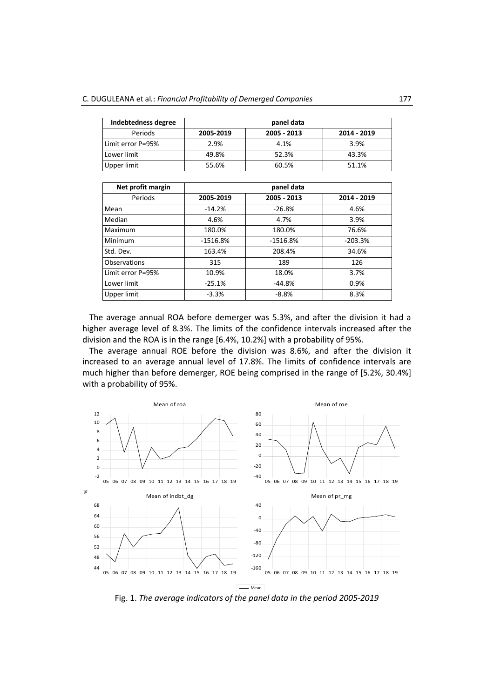| Indebtedness degree | panel data |             |             |  |  |  |
|---------------------|------------|-------------|-------------|--|--|--|
| Periods             | 2005-2019  | 2005 - 2013 | 2014 - 2019 |  |  |  |
| Limit error P=95%   | 2.9%       | 4.1%        | 3.9%        |  |  |  |
| Lower limit         | 49.8%      | 52.3%       | 43.3%       |  |  |  |
| Upper limit         | 55.6%      | 60.5%       | 51.1%       |  |  |  |

| Net profit margin | panel data |             |             |  |  |  |
|-------------------|------------|-------------|-------------|--|--|--|
| Periods           | 2005-2019  | 2005 - 2013 | 2014 - 2019 |  |  |  |
| Mean              | $-14.2%$   | $-26.8%$    | 4.6%        |  |  |  |
| Median            | 4.6%       | 4.7%        | 3.9%        |  |  |  |
| Maximum           | 180.0%     | 180.0%      | 76.6%       |  |  |  |
| Minimum           | $-1516.8%$ | $-1516.8%$  | $-203.3%$   |  |  |  |
| Std. Dev.         | 163.4%     | 208.4%      | 34.6%       |  |  |  |
| Observations      | 315        | 189         | 126         |  |  |  |
| Limit error P=95% | 10.9%      | 18.0%       | 3.7%        |  |  |  |
| Lower limit       | $-25.1%$   | $-44.8%$    | 0.9%        |  |  |  |
| Upper limit       | $-3.3%$    | $-8.8%$     | 8.3%        |  |  |  |

The average annual ROA before demerger was 5.3%, and after the division it had a higher average level of 8.3%. The limits of the confidence intervals increased after the division and the ROA is in the range [6.4%, 10.2%] with a probability of 95%.

The average annual ROE before the division was 8.6%, and after the division it increased to an average annual level of 17.8%. The limits of confidence intervals are much higher than before demerger, ROE being comprised in the range of [5.2%, 30.4%] with a probability of 95%.



Fig. 1. *The average indicators of the panel data in the period 2005-2019*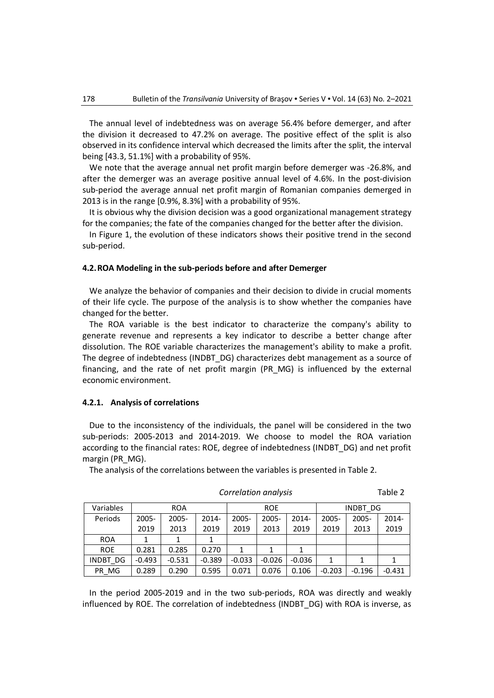The annual level of indebtedness was on average 56.4% before demerger, and after the division it decreased to 47.2% on average. The positive effect of the split is also observed in its confidence interval which decreased the limits after the split, the interval being [43.3, 51.1%] with a probability of 95%.

We note that the average annual net profit margin before demerger was -26.8%, and after the demerger was an average positive annual level of 4.6%. In the post-division sub-period the average annual net profit margin of Romanian companies demerged in 2013 is in the range [0.9%, 8.3%] with a probability of 95%.

It is obvious why the division decision was a good organizational management strategy for the companies; the fate of the companies changed for the better after the division.

In Figure 1, the evolution of these indicators shows their positive trend in the second sub-period.

# **4.2.ROA Modeling in the sub-periods before and after Demerger**

We analyze the behavior of companies and their decision to divide in crucial moments of their life cycle. The purpose of the analysis is to show whether the companies have changed for the better.

The ROA variable is the best indicator to characterize the company's ability to generate revenue and represents a key indicator to describe a better change after dissolution. The ROE variable characterizes the management's ability to make a profit. The degree of indebtedness (INDBT\_DG) characterizes debt management as a source of financing, and the rate of net profit margin (PR\_MG) is influenced by the external economic environment.

# **4.2.1. Analysis of correlations**

Due to the inconsistency of the individuals, the panel will be considered in the two sub-periods: 2005-2013 and 2014-2019. We choose to model the ROA variation according to the financial rates: ROE, degree of indebtedness (INDBT\_DG) and net profit margin (PR\_MG).

The analysis of the correlations between the variables is presented in Table 2.

| Variables  | <b>ROA</b> |          |          | <b>ROE</b> |          |          | INDBT DG |          |          |
|------------|------------|----------|----------|------------|----------|----------|----------|----------|----------|
| Periods    | 2005-      | $2005 -$ | 2014-    | $2005 -$   | 2005-    | 2014-    | $2005 -$ | $2005 -$ | $2014 -$ |
|            | 2019       | 2013     | 2019     | 2019       | 2013     | 2019     | 2019     | 2013     | 2019     |
| <b>ROA</b> |            |          |          |            |          |          |          |          |          |
| <b>ROE</b> | 0.281      | 0.285    | 0.270    | 1          | 1        |          |          |          |          |
| INDBT DG   | $-0.493$   | $-0.531$ | $-0.389$ | $-0.033$   | $-0.026$ | $-0.036$ | 1        | 1        |          |
| PR MG      | 0.289      | 0.290    | 0.595    | 0.071      | 0.076    | 0.106    | $-0.203$ | $-0.196$ | $-0.431$ |

In the period 2005-2019 and in the two sub-periods, ROA was directly and weakly influenced by ROE. The correlation of indebtedness (INDBT\_DG) with ROA is inverse, as

#### *Correlation analysis* Table 2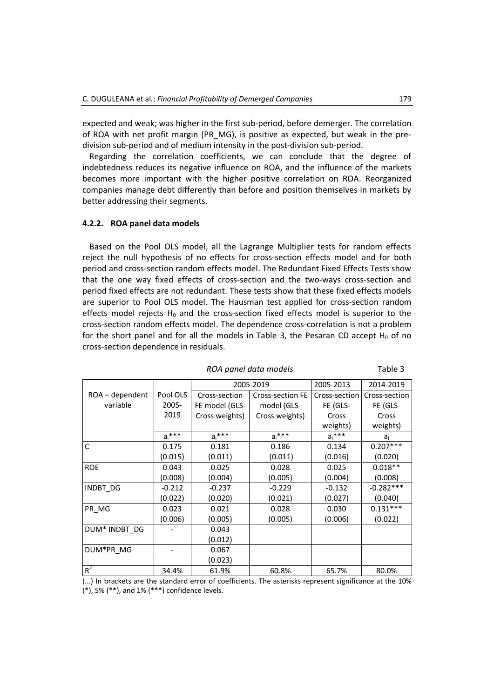expected and weak; was higher in the first sub-period, before demerger. The correlation of ROA with net profit margin (PR\_MG), is positive as expected, but weak in the predivision sub-period and of medium intensity in the post-division sub-period.

Regarding the correlation coefficients, we can conclude that the degree of indebtedness reduces its negative influence on ROA, and the influence of the markets becomes more important with the higher positive correlation on ROA. Reorganized companies manage debt differently than before and position themselves in markets by better addressing their segments.

#### **4.2.2. ROA panel data models**

Based on the Pool OLS model, all the Lagrange Multiplier tests for random effects reject the null hypothesis of no effects for cross-section effects model and for both period and cross-section random effects model. The Redundant Fixed Effects Tests show that the one way fixed effects of cross-section and the two-ways cross-section and period fixed effects are not redundant. These tests show that these fixed effects models are superior to Pool OLS model. The Hausman test applied for cross-section random effects model rejects  $H_0$  and the cross-section fixed effects model is superior to the cross-section random effects model. The dependence cross-correlation is not a problem for the short panel and for all the models in Table 3, the Pesaran CD accept  $H_0$  of no cross-section dependence in residuals.

|                   |           | 2005-2019                                |                | 2005-2013     | 2014-2019     |
|-------------------|-----------|------------------------------------------|----------------|---------------|---------------|
| $ROA - dependent$ | Pool OLS  | <b>Cross-section FE</b><br>Cross-section |                | Cross-section | Cross-section |
| variable          | 2005-     | FE model (GLS-                           | model (GLS-    | FE (GLS-      | FE (GLS-      |
|                   | 2019      | Cross weights)                           | Cross weights) | Cross         | Cross         |
|                   |           |                                          |                | weights)      | weights)      |
|                   | $a_i$ *** | $a_i^{***}$                              | $a_i$ ***      | $a_i$ ***     | $a_i$         |
| $\mathsf{C}$      | 0.175     | 0.181                                    | 0.186          | 0.134         | $0.207***$    |
|                   | (0.015)   | (0.011)                                  | (0.011)        | (0.016)       | (0.020)       |
| <b>ROE</b>        | 0.043     | 0.025                                    | 0.028          | 0.025         | $0.018**$     |
|                   | (0.008)   | (0.004)                                  | (0.005)        | (0.004)       | (0.008)       |
| INDBT DG          | $-0.212$  | $-0.237$                                 | $-0.229$       | $-0.132$      | $-0.282***$   |
|                   | (0.022)   | (0.020)                                  | (0.021)        | (0.027)       | (0.040)       |
| PR_MG             | 0.023     | 0.021                                    | 0.028          | 0.030         | $0.131***$    |
|                   | (0.006)   | (0.005)                                  | (0.005)        | (0.006)       | (0.022)       |
| DUM* INDBT_DG     |           | 0.043                                    |                |               |               |
|                   |           | (0.012)                                  |                |               |               |
| DUM*PR MG         |           | 0.067                                    |                |               |               |
|                   |           | (0.023)                                  |                |               |               |
| $R^2$             | 34.4%     | 61.9%                                    | 60.8%          | 65.7%         | 80.0%         |

*ROA panel data models* Table 3

(...) In brackets are the standard error of coefficients. The asterisks represent significance at the 10% (\*), 5% (\*\*), and 1% (\*\*\*) confidence levels.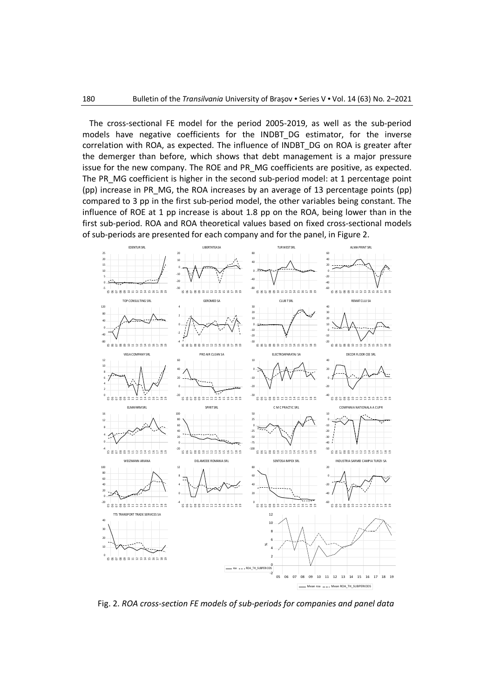The cross-sectional FE model for the period 2005-2019, as well as the sub-period models have negative coefficients for the INDBT\_DG estimator, for the inverse correlation with ROA, as expected. The influence of INDBT\_DG on ROA is greater after the demerger than before, which shows that debt management is a major pressure issue for the new company. The ROE and PR\_MG coefficients are positive, as expected. The PR\_MG coefficient is higher in the second sub-period model: at 1 percentage point (pp) increase in PR\_MG, the ROA increases by an average of 13 percentage points (pp) compared to 3 pp in the first sub-period model, the other variables being constant. The influence of ROE at 1 pp increase is about 1.8 pp on the ROA, being lower than in the first sub-period. ROA and ROA theoretical values based on fixed cross-sectional models of sub-periods are presented for each company and for the panel, in Figure 2.



Fig. 2. *ROA cross-section FE models of sub-periods for companies and panel data*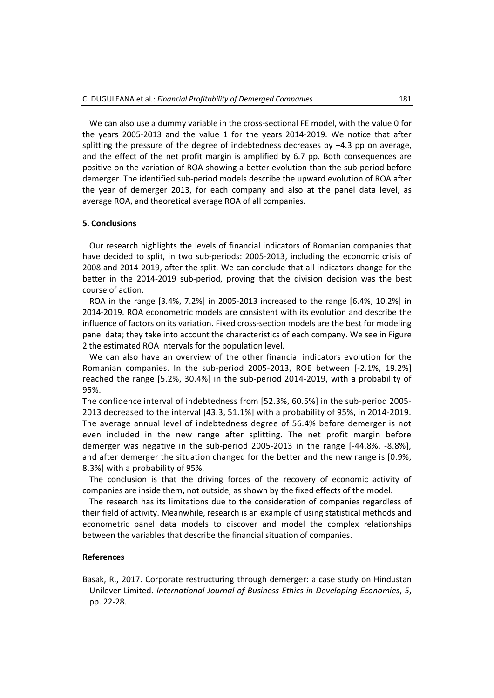We can also use a dummy variable in the cross-sectional FE model, with the value 0 for the years 2005-2013 and the value 1 for the years 2014-2019. We notice that after splitting the pressure of the degree of indebtedness decreases by +4.3 pp on average, and the effect of the net profit margin is amplified by 6.7 pp. Both consequences are positive on the variation of ROA showing a better evolution than the sub-period before demerger. The identified sub-period models describe the upward evolution of ROA after the year of demerger 2013, for each company and also at the panel data level, as average ROA, and theoretical average ROA of all companies.

# **5. Conclusions**

Our research highlights the levels of financial indicators of Romanian companies that have decided to split, in two sub-periods: 2005-2013, including the economic crisis of 2008 and 2014-2019, after the split. We can conclude that all indicators change for the better in the 2014-2019 sub-period, proving that the division decision was the best course of action.

ROA in the range [3.4%, 7.2%] in 2005-2013 increased to the range [6.4%, 10.2%] in 2014-2019. ROA econometric models are consistent with its evolution and describe the influence of factors on its variation. Fixed cross-section models are the best for modeling panel data; they take into account the characteristics of each company. We see in Figure 2 the estimated ROA intervals for the population level.

We can also have an overview of the other financial indicators evolution for the Romanian companies. In the sub-period 2005-2013, ROE between [-2.1%, 19.2%] reached the range [5.2%, 30.4%] in the sub-period 2014-2019, with a probability of 95%.

The confidence interval of indebtedness from [52.3%, 60.5%] in the sub-period 2005- 2013 decreased to the interval [43.3, 51.1%] with a probability of 95%, in 2014-2019. The average annual level of indebtedness degree of 56.4% before demerger is not even included in the new range after splitting. The net profit margin before demerger was negative in the sub-period 2005-2013 in the range [-44.8%, -8.8%], and after demerger the situation changed for the better and the new range is [0.9%, 8.3%] with a probability of 95%.

The conclusion is that the driving forces of the recovery of economic activity of companies are inside them, not outside, as shown by the fixed effects of the model.

The research has its limitations due to the consideration of companies regardless of their field of activity. Meanwhile, research is an example of using statistical methods and econometric panel data models to discover and model the complex relationships between the variables that describe the financial situation of companies.

#### **References**

Basak, R., 2017. Corporate restructuring through demerger: a case study on Hindustan Unilever Limited. *International Journal of Business Ethics in Developing Economies*, *5*, pp. 22-28.